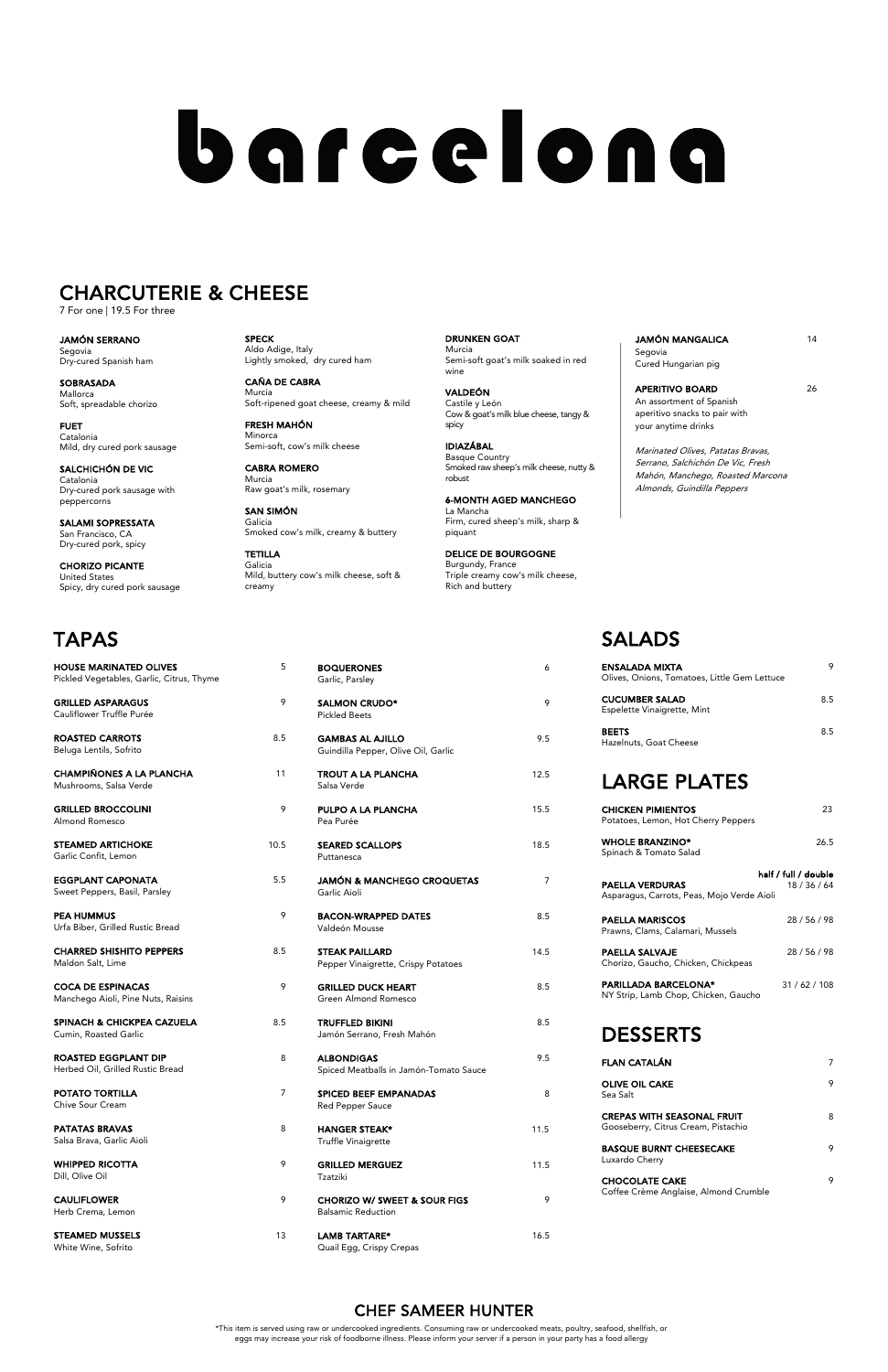| <b>BOQUERONES</b><br>Garlic, Parsley                           | 6    |
|----------------------------------------------------------------|------|
| <b>SALMON CRUDO*</b><br><b>Pickled Beets</b>                   | 9    |
| <b>GAMBAS AL AJILLO</b><br>Guindilla Pepper, Olive Oil, Garlic | 9.5  |
| <b>TROUT A LA PLANCHA</b><br>Salsa Verde                       | 12.5 |
| PULPO A LA PLANCHA<br>Pea Purée                                | 15.5 |
| <b>SEARED SCALLOPS</b><br>Puttanesca                           | 18.5 |
| <b>JAMÓN &amp; MANCHEGO CROQUETAS</b><br>Garlic Aioli          | 7    |
| <b>BACON-WRAPPED DATES</b><br>Valdeón Mousse                   | 8.5  |
| <b>STEAK PAILLARD</b><br>Pepper Vinaigrette, Crispy Potatoes   | 14.5 |
| <b>GRILLED DUCK HEART</b><br>Green Almond Romesco              | 8.5  |

| <b>TRUFFLED BIKINI</b>     | 8.5 |
|----------------------------|-----|
| Jamón Serrano, Fresh Mahón |     |

- ALBONDIGAS 9.5 Spiced Meatballs in Jamón-Tomato Sauce
- SPICED BEEF EMPANADAS 8 Red Pepper Sauce
- HANGER STEAK\* 11.5 Truffle Vinaigrette
- GRILLED MERGUEZ 11.5 Tzatziki
- CHORIZO W/ SWEET & SOUR FIGS 9 Balsamic Reduction
- LAMB TARTARE\* 16.5 Quail Egg, Crispy Crepas

JAMÓN MANGALICA 14 Segovia Cured Hungarian pig

APERITIVO BOARD 26 An assortment of Spanish aperitivo snacks to pair with your anytime drinks

## SALADS

| ENSALADA MIXTA<br>Olives, Onions, Tomatoes, Little Gem Lettuce |    |
|----------------------------------------------------------------|----|
| <b>CUCUMBER SALAD</b><br>Espelette Vinaigrette, Mint           | 85 |
| <b>BEETS</b><br>Hazelnuts, Goat Cheese                         | 85 |

## LARGE PLATES

| <b>CHICKEN PIMIENTOS</b><br>Potatoes, Lemon, Hot Cherry Peppers     | 23                                   |
|---------------------------------------------------------------------|--------------------------------------|
| <b>WHOLE BRANZINO*</b><br>Spinach & Tomato Salad                    | 26.5                                 |
| PAELLA VERDURAS<br>Asparagus, Carrots, Peas, Mojo Verde Aioli       | half / full / double<br>18 / 36 / 64 |
| PAELLA MARISCOS<br>Prawns, Clams, Calamari, Mussels                 | 28 / 56 / 98                         |
| PAELLA SALVAJE<br>Chorizo, Gaucho, Chicken, Chickpeas               | 28 / 56 / 98                         |
| <b>PARILLADA BARCELONA*</b><br>NY Strip. Lamb Chop. Chicken. Gaucho | 31/62/108                            |

DESSERTS

| FLAN CATALÁN                                                             |   |
|--------------------------------------------------------------------------|---|
| <b>OLIVE OIL CAKE</b><br>Sea Salt                                        | 9 |
| <b>CREPAS WITH SEASONAL FRUIT</b><br>Gooseberry, Citrus Cream, Pistachio | 8 |
| <b>BASQUE BURNT CHEESECAKE</b><br>Luxardo Cherry                         | 9 |
| <b>CHOCOLATE CAKE</b><br>Coffee Crème Anglaise, Almond Crumble           | 9 |

| <b>HOUSE MARINATED OLIVES</b><br>Pickled Vegetables, Garlic, Citrus, Thyme | 5    |
|----------------------------------------------------------------------------|------|
| <b>GRILLED ASPARAGUS</b><br>Cauliflower Truffle Purée                      | 9    |
| <b>ROASTED CARROTS</b><br>Beluga Lentils, Sofrito                          | 8.5  |
| <b>CHAMPIÑONES A LA PLANCHA</b><br>Mushrooms, Salsa Verde                  | 11   |
| <b>GRILLED BROCCOLINI</b><br>Almond Romesco                                | 9    |
| <b>STEAMED ARTICHOKE</b><br>Garlic Confit, Lemon                           | 10.5 |
| <b>EGGPLANT CAPONATA</b><br>Sweet Peppers, Basil, Parsley                  | 5.5  |
| <b>PEA HUMMUS</b><br>Urfa Biber, Grilled Rustic Bread                      | 9    |
| <b>CHARRED SHISHITO PEPPERS</b><br>Maldon Salt, Lime                       | 8.5  |
| <b>COCA DE ESPINACAS</b><br>Manchego Aioli, Pine Nuts, Raisins             | 9    |
| <b>SPINACH &amp; CHICKPEA CAZUELA</b><br>Cumin, Roasted Garlic             | 8.5  |
| ROASTED EGGPLANT DIP<br>Herbed Oil, Grilled Rustic Bread                   | 8    |
| <b>POTATO TORTILLA</b><br>Chive Sour Cream                                 | 7    |
| <b>PATATAS BRAVAS</b><br>Salsa Brava, Garlic Aioli                         | 8    |
| <b>WHIPPED RICOTTA</b><br>Dill, Olive Oil                                  | 9    |
| <b>CAULIFLOWER</b><br>Herb Crema, Lemon                                    | 9    |
| <b>STEAMED MUSSELS</b><br>White Wine, Sofrito                              | 13   |

Marinated Olives, Patatas Bravas, Serrano, Salchichón De Vic, Fresh Mahón, Manchego, Roasted Marcona Almonds, Guindilla Peppers

# barcelona

#### CHARCUTERIE & CHEESE

7 For one | 19.5 For three

\*This item is served using raw or undercooked ingredients. Consuming raw or undercooked meats, poultry, seafood, shellfish, or eggs may increase your risk of foodborne illness. Please inform your server if a person in your party has a food allergy

#### CHEF SAMEER HUNTER

JAMÓN SERRANO Segovia Dry-cured Spanish ham

SOBRASADA Mallorca Soft, spreadable chorizo

FUET Catalonia Mild, dry cured pork sausage

SALCHICHÓN DE VIC Catalonia Dry-cured pork sausage with peppercorns

SALAMI SOPRESSATA San Francisco, CA Dry-cured pork, spicy

CHORIZO PICANTE United States Spicy, dry cured pork sausage SPECK Aldo Adige, Italy Lightly smoked, dry cured ham

CAÑA DE CABRA Murcia Soft-ripened goat cheese, creamy & mild

FRESH MAHÓN Minorca Semi-soft, cow's milk cheese

CABRA ROMERO Murcia Raw goat's milk, rosemary

SAN SIMÓN Galicia Smoked cow's milk, creamy & buttery

TETILLA Galicia Mild, buttery cow's milk cheese, soft & creamy

DRUNKEN GOAT Murcia Semi-soft goat's milk soaked in red wine

VALDEÓN Castile y León Cow & goat's milk blue cheese, tangy & spicy

IDIAZÁBAL Basque Country Smoked raw sheep's milk cheese, nutty & robust

6-MONTH AGED MANCHEGO La Mancha Firm, cured sheep's milk, sharp & piquant

DELICE DE BOURGOGNE Burgundy, France Triple creamy cow's milk cheese, Rich and buttery

# TAPAS